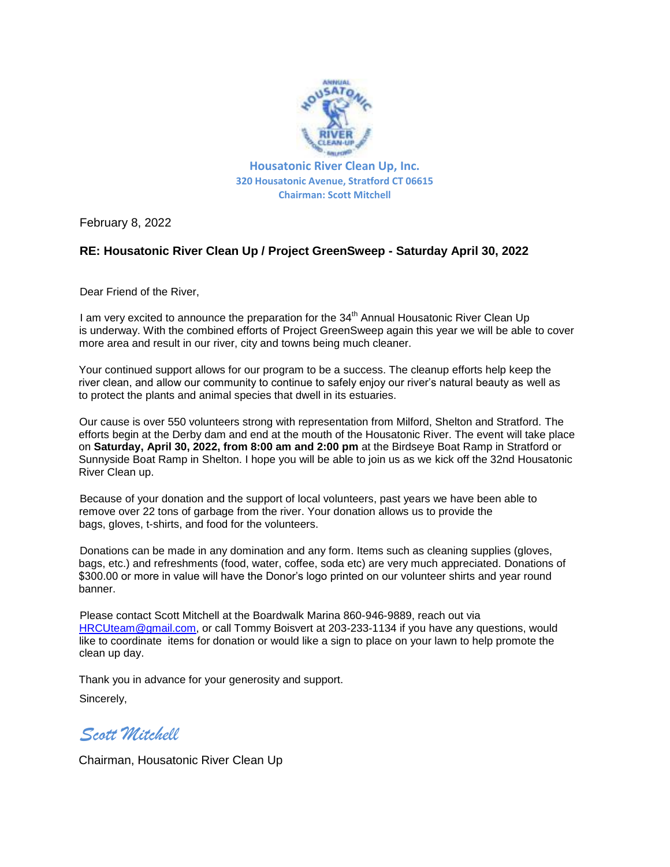

February 8, 2022

## **RE: Housatonic River Clean Up / Project GreenSweep - Saturday April 30, 2022**

Dear Friend of the River,

I am very excited to announce the preparation for the  $34<sup>th</sup>$  Annual Housatonic River Clean Up is underway. With the combined efforts of Project GreenSweep again this year we will be able to cover more area and result in our river, city and towns being much cleaner.

Your continued support allows for our program to be a success. The cleanup efforts help keep the river clean, and allow our community to continue to safely enjoy our river's natural beauty as well as to protect the plants and animal species that dwell in its estuaries.

Our cause is over 550 volunteers strong with representation from Milford, Shelton and Stratford. The efforts begin at the Derby dam and end at the mouth of the Housatonic River. The event will take place on **Saturday, April 30, 2022, from 8:00 am and 2:00 pm** at the Birdseye Boat Ramp in Stratford or Sunnyside Boat Ramp in Shelton. I hope you will be able to join us as we kick off the 32nd Housatonic River Clean up.

Because of your donation and the support of local volunteers, past years we have been able to remove over 22 tons of garbage from the river. Your donation allows us to provide the bags, gloves, t-shirts, and food for the volunteers.

Donations can be made in any domination and any form. Items such as cleaning supplies (gloves, bags, etc.) and refreshments (food, water, coffee, soda etc) are very much appreciated. Donations of \$300.00 or more in value will have the Donor's logo printed on our volunteer shirts and year round banner.

Please contact Scott Mitchell at the Boardwalk Marina 860-946-9889, reach out via HRCUteam@gmail.com, or call Tommy Boisvert at 203-233-1134 if you have any questions, would like to coordinate items for donation or would like a sign to place on your lawn to help promote the clean up day.

Thank you in advance for your generosity and support. Sincerely,

*Scott Mitchell*

Chairman, Housatonic River Clean Up